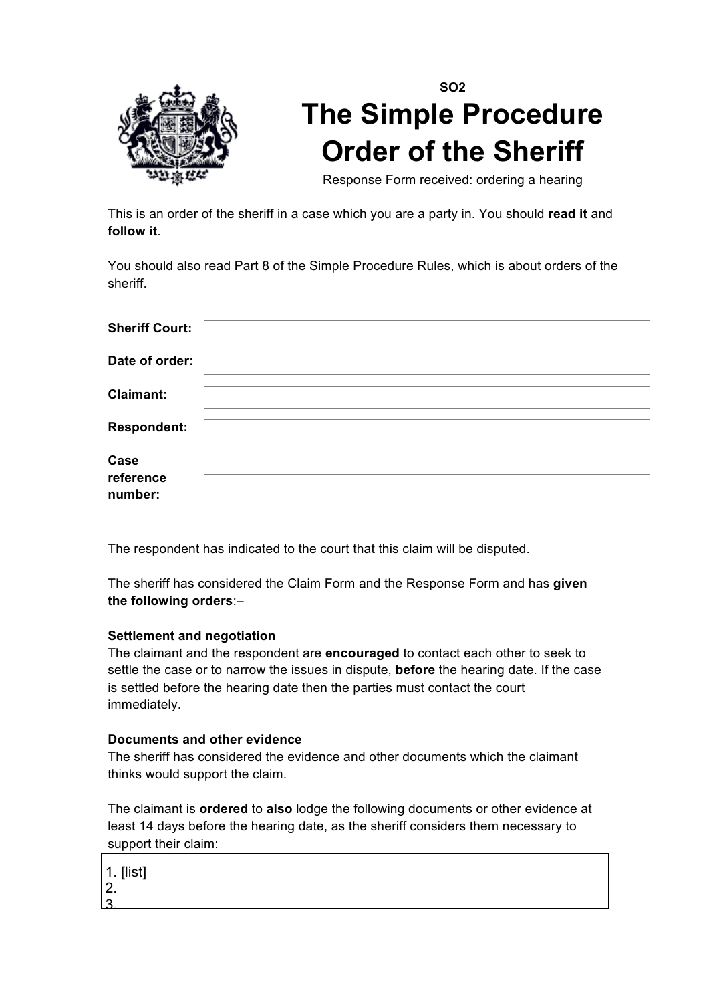

## **SO2 The Simple Procedure Order of the Sheriff**

Response Form received: ordering a hearing

This is an order of the sheriff in a case which you are a party in. You should **read it** and **follow it**.

You should also read Part 8 of the Simple Procedure Rules, which is about orders of the sheriff.

| <b>Sheriff Court:</b>        |  |
|------------------------------|--|
| Date of order:               |  |
| <b>Claimant:</b>             |  |
| <b>Respondent:</b>           |  |
| Case<br>reference<br>number: |  |

The respondent has indicated to the court that this claim will be disputed.

The sheriff has considered the Claim Form and the Response Form and has **given the following orders**:–

## **Settlement and negotiation**

The claimant and the respondent are **encouraged** to contact each other to seek to settle the case or to narrow the issues in dispute, **before** the hearing date. If the case is settled before the hearing date then the parties must contact the court immediately.

## **Documents and other evidence**

The sheriff has considered the evidence and other documents which the claimant thinks would support the claim.

The claimant is **ordered** to **also** lodge the following documents or other evidence at least 14 days before the hearing date, as the sheriff considers them necessary to support their claim:

|   | 1. [list] |
|---|-----------|
| ン |           |
|   |           |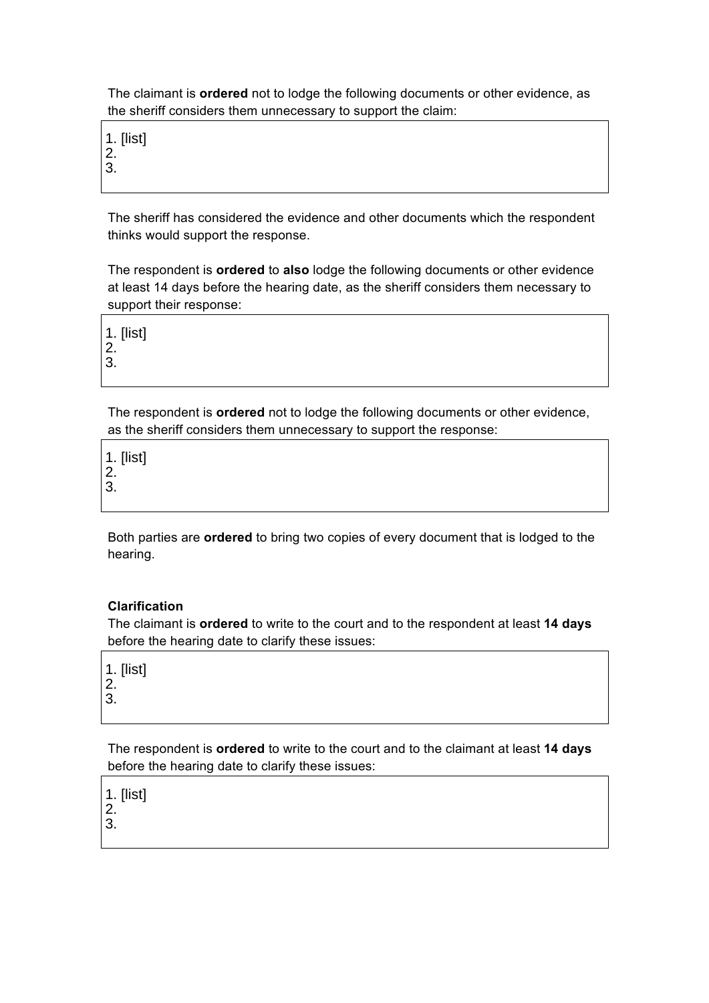The claimant is **ordered** not to lodge the following documents or other evidence, as the sheriff considers them unnecessary to support the claim:

1. [list]

2.

3.

The sheriff has considered the evidence and other documents which the respondent thinks would support the response.

The respondent is **ordered** to **also** lodge the following documents or other evidence at least 14 days before the hearing date, as the sheriff considers them necessary to support their response:

1. [list] 2. 3.

The respondent is **ordered** not to lodge the following documents or other evidence, as the sheriff considers them unnecessary to support the response:

1. [list] 2.

3.

Both parties are **ordered** to bring two copies of every document that is lodged to the hearing.

## **Clarification**

The claimant is **ordered** to write to the court and to the respondent at least **14 days** before the hearing date to clarify these issues:

1. [list] 2.

3.

The respondent is **ordered** to write to the court and to the claimant at least **14 days** before the hearing date to clarify these issues:

1. [list]

2. 3.